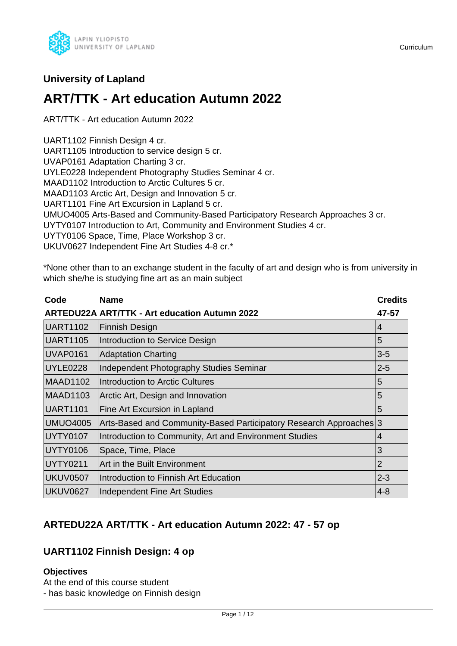

## **University of Lapland**

# **ART/TTK - Art education Autumn 2022**

ART/TTK - Art education Autumn 2022

UART1102 Finnish Design 4 cr.

UART1105 Introduction to service design 5 cr.

UVAP0161 Adaptation Charting 3 cr.

UYLE0228 Independent Photography Studies Seminar 4 cr.

MAAD1102 Introduction to Arctic Cultures 5 cr.

MAAD1103 Arctic Art, Design and Innovation 5 cr.

UART1101 Fine Art Excursion in Lapland 5 cr.

UMUO4005 Arts-Based and Community-Based Participatory Research Approaches 3 cr.

UYTY0107 Introduction to Art, Community and Environment Studies 4 cr.

UYTY0106 Space, Time, Place Workshop 3 cr.

UKUV0627 Independent Fine Art Studies 4-8 cr.\*

\*None other than to an exchange student in the faculty of art and design who is from university in which she/he is studying fine art as an main subject

| Code            | <b>Name</b>                                                        | <b>Credits</b> |
|-----------------|--------------------------------------------------------------------|----------------|
|                 | <b>ARTEDU22A ART/TTK - Art education Autumn 2022</b>               | 47-57          |
| UART1102        | <b>Finnish Design</b>                                              | $\overline{4}$ |
| UART1105        | Introduction to Service Design                                     | 5              |
| UVAP0161        | <b>Adaptation Charting</b>                                         | $3-5$          |
| UYLE0228        | Independent Photography Studies Seminar                            | $2 - 5$        |
| MAAD1102        | Introduction to Arctic Cultures                                    | $\overline{5}$ |
| MAAD1103        | Arctic Art, Design and Innovation                                  | $\overline{5}$ |
| UART1101        | Fine Art Excursion in Lapland                                      | 5              |
| <b>UMUO4005</b> | Arts-Based and Community-Based Participatory Research Approaches 3 |                |
| <b>UYTY0107</b> | Introduction to Community, Art and Environment Studies             | 4              |
| UYTY0106        | Space, Time, Place                                                 | 3              |
| <b>UYTY0211</b> | Art in the Built Environment                                       | $\overline{2}$ |
| UKUV0507        | Introduction to Finnish Art Education                              | $2 - 3$        |
| UKUV0627        | Independent Fine Art Studies                                       | $4-8$          |

## **ARTEDU22A ART/TTK - Art education Autumn 2022: 47 - 57 op**

## **UART1102 Finnish Design: 4 op**

## **Objectives**

At the end of this course student - has basic knowledge on Finnish design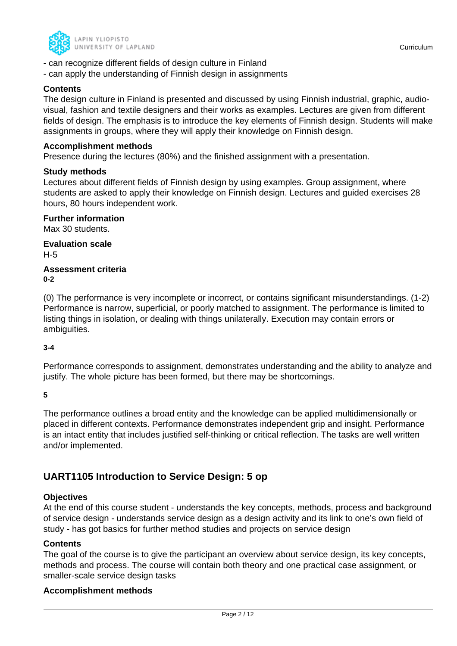

- can recognize different fields of design culture in Finland
- can apply the understanding of Finnish design in assignments

## **Contents**

The design culture in Finland is presented and discussed by using Finnish industrial, graphic, audiovisual, fashion and textile designers and their works as examples. Lectures are given from different fields of design. The emphasis is to introduce the key elements of Finnish design. Students will make assignments in groups, where they will apply their knowledge on Finnish design.

#### **Accomplishment methods**

Presence during the lectures (80%) and the finished assignment with a presentation.

#### **Study methods**

Lectures about different fields of Finnish design by using examples. Group assignment, where students are asked to apply their knowledge on Finnish design. Lectures and guided exercises 28 hours, 80 hours independent work.

## **Further information**

Max 30 students.

**Evaluation scale** H-5

**Assessment criteria 0-2**

(0) The performance is very incomplete or incorrect, or contains significant misunderstandings. (1-2) Performance is narrow, superficial, or poorly matched to assignment. The performance is limited to listing things in isolation, or dealing with things unilaterally. Execution may contain errors or ambiguities.

## **3-4**

Performance corresponds to assignment, demonstrates understanding and the ability to analyze and justify. The whole picture has been formed, but there may be shortcomings.

**5**

The performance outlines a broad entity and the knowledge can be applied multidimensionally or placed in different contexts. Performance demonstrates independent grip and insight. Performance is an intact entity that includes justified self-thinking or critical reflection. The tasks are well written and/or implemented.

## **UART1105 Introduction to Service Design: 5 op**

## **Objectives**

At the end of this course student - understands the key concepts, methods, process and background of service design - understands service design as a design activity and its link to one's own field of study - has got basics for further method studies and projects on service design

## **Contents**

The goal of the course is to give the participant an overview about service design, its key concepts, methods and process. The course will contain both theory and one practical case assignment, or smaller-scale service design tasks

## **Accomplishment methods**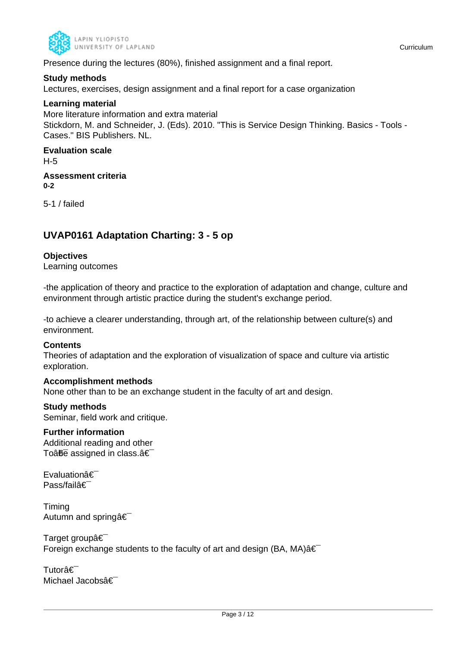

Presence during the lectures (80%), finished assignment and a final report.

### **Study methods**

Lectures, exercises, design assignment and a final report for a case organization

#### **Learning material**

More literature information and extra material Stickdorn, M. and Schneider, J. (Eds). 2010. "This is Service Design Thinking. Basics - Tools - Cases." BIS Publishers. NL.

#### **Evaluation scale** H-5

**Assessment criteria 0-2**

5-1 / failed

## **UVAP0161 Adaptation Charting: 3 - 5 op**

## **Objectives**

Learning outcomes

-the application of theory and practice to the exploration of adaptation and change, culture and environment through artistic practice during the student's exchange period.

-to achieve a clearer understanding, through art, of the relationship between culture(s) and environment.

#### **Contents**

Theories of adaptation and the exploration of visualization of space and culture via artistic exploration.

## **Accomplishment methods**

None other than to be an exchange student in the faculty of art and design.

## **Study methods**

Seminar, field work and critique.

## **Further information**

Additional reading and other To $\hat{a}$ <del>fie</del> assigned in class. $\hat{a} \in \hat{a}$ 

Evaluationâ€ Pass/failâ€

Timing Autumn and springâ€

Target groupâ€ Foreign exchange students to the faculty of art and design (BA, MA) $\hat{a} \in$ 

Tutorâ€ Michael Jacobsâ€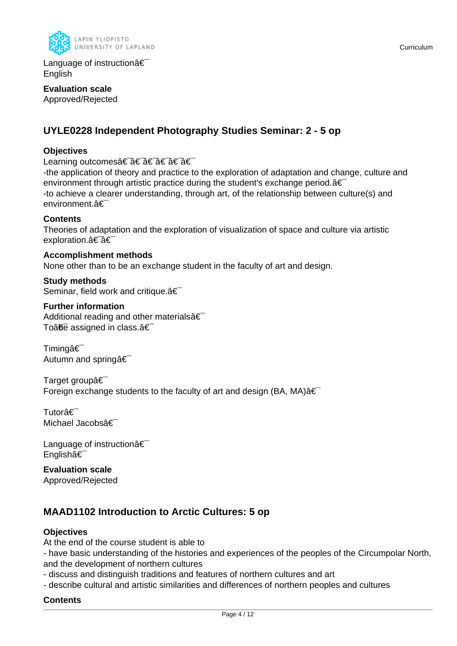

Language of instructionâ€ English

**Evaluation scale** Approved/Rejected

## **UYLE0228 Independent Photography Studies Seminar: 2 - 5 op**

## **Objectives**

Learning outcomes†â€ a€ †â€ â€

-the application of theory and practice to the exploration of adaptation and change, culture and environment through artistic practice during the student's exchange period.  $\hat{\mathbf{a}} \in \mathbb{R}$ -to achieve a clearer understanding, through art, of the relationship between culture(s) and environment.â€

#### **Contents**

Theories of adaptation and the exploration of visualization of space and culture via artistic exploration.a<sup>€-</sup>a€

**Accomplishment methods** None other than to be an exchange student in the faculty of art and design.

**Study methods** Seminar, field work and critique. $\hat{a} \in \hat{a}$ 

## **Further information**

Additional reading and other materials  $\hat{\mathbf{a}} \in \mathbb{R}$ To $a\overline{b}\overline{c}$  assigned in class. $a\in$ 

Timingâ€ Autumn and springa<sup>€</sup>

Target groupâ€ Foreign exchange students to the faculty of art and design (BA, MA) $\hat{a} \in$ 

Tutorâ€<sup>-</sup> Michael Jacobsâ€

Language of instructionâ€ Englishâ€

**Evaluation scale** Approved/Rejected

## **MAAD1102 Introduction to Arctic Cultures: 5 op**

## **Objectives**

At the end of the course student is able to

- have basic understanding of the histories and experiences of the peoples of the Circumpolar North, and the development of northern cultures

- discuss and distinguish traditions and features of northern cultures and art

- describe cultural and artistic similarities and differences of northern peoples and cultures

## **Contents**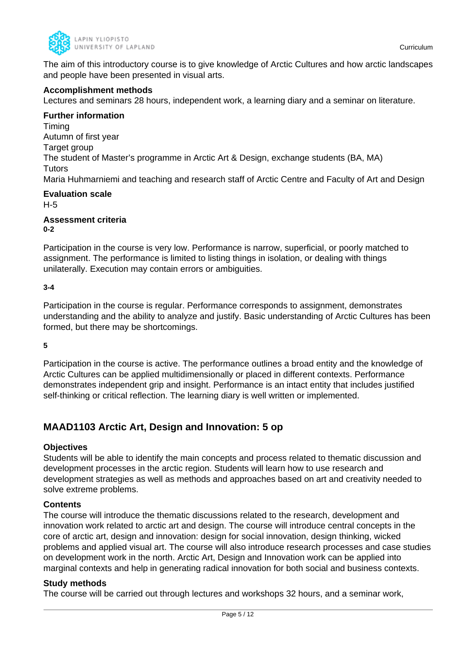

The aim of this introductory course is to give knowledge of Arctic Cultures and how arctic landscapes and people have been presented in visual arts.

### **Accomplishment methods**

Lectures and seminars 28 hours, independent work, a learning diary and a seminar on literature.

#### **Further information**

Timing Autumn of first year Target group The student of Master's programme in Arctic Art & Design, exchange students (BA, MA) Tutors Maria Huhmarniemi and teaching and research staff of Arctic Centre and Faculty of Art and Design

#### **Evaluation scale** H-5

**Assessment criteria 0-2**

Participation in the course is very low. Performance is narrow, superficial, or poorly matched to assignment. The performance is limited to listing things in isolation, or dealing with things unilaterally. Execution may contain errors or ambiguities.

#### **3-4**

Participation in the course is regular. Performance corresponds to assignment, demonstrates understanding and the ability to analyze and justify. Basic understanding of Arctic Cultures has been formed, but there may be shortcomings.

**5**

Participation in the course is active. The performance outlines a broad entity and the knowledge of Arctic Cultures can be applied multidimensionally or placed in different contexts. Performance demonstrates independent grip and insight. Performance is an intact entity that includes justified self-thinking or critical reflection. The learning diary is well written or implemented.

## **MAAD1103 Arctic Art, Design and Innovation: 5 op**

#### **Objectives**

Students will be able to identify the main concepts and process related to thematic discussion and development processes in the arctic region. Students will learn how to use research and development strategies as well as methods and approaches based on art and creativity needed to solve extreme problems.

#### **Contents**

The course will introduce the thematic discussions related to the research, development and innovation work related to arctic art and design. The course will introduce central concepts in the core of arctic art, design and innovation: design for social innovation, design thinking, wicked problems and applied visual art. The course will also introduce research processes and case studies on development work in the north. Arctic Art, Design and Innovation work can be applied into marginal contexts and help in generating radical innovation for both social and business contexts.

#### **Study methods**

The course will be carried out through lectures and workshops 32 hours, and a seminar work,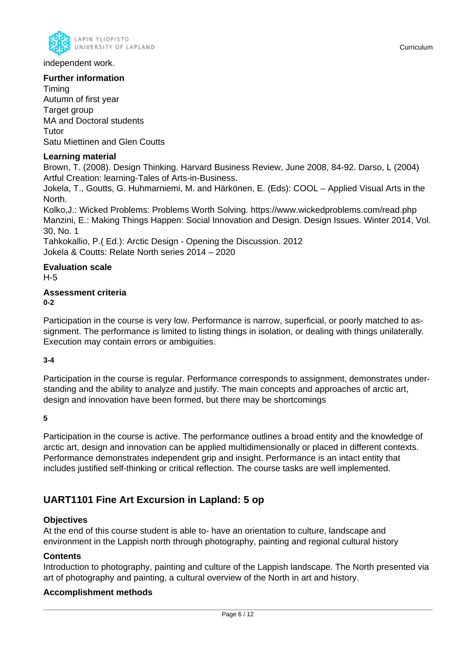

independent work.

## **Further information**

Timing Autumn of first year Target group MA and Doctoral students Tutor Satu Miettinen and Glen Coutts

## **Learning material**

Brown, T. (2008). Design Thinking. Harvard Business Review, June 2008, 84-92. Darso, L (2004) Artful Creation: learning-Tales of Arts-in-Business.

Jokela, T., Goutts, G. Huhmarniemi, M. and Härkönen, E. (Eds): COOL – Applied Visual Arts in the North.

Kolko,J.: Wicked Problems: Problems Worth Solving. https://www.wickedproblems.com/read.php Manzini, E.: Making Things Happen: Social Innovation and Design. Design Issues. Winter 2014, Vol. 30, No. 1

Tahkokallio, P.( Ed.): Arctic Design - Opening the Discussion. 2012 Jokela & Coutts: Relate North series 2014 – 2020

## **Evaluation scale**

H-5

# **Assessment criteria**

**0-2**

Participation in the course is very low. Performance is narrow, superficial, or poorly matched to assignment. The performance is limited to listing things in isolation, or dealing with things unilaterally. Execution may contain errors or ambiguities.

## **3-4**

Participation in the course is regular. Performance corresponds to assignment, demonstrates understanding and the ability to analyze and justify. The main concepts and approaches of arctic art, design and innovation have been formed, but there may be shortcomings

**5**

Participation in the course is active. The performance outlines a broad entity and the knowledge of arctic art, design and innovation can be applied multidimensionally or placed in different contexts. Performance demonstrates independent grip and insight. Performance is an intact entity that includes justified self-thinking or critical reflection. The course tasks are well implemented.

## **UART1101 Fine Art Excursion in Lapland: 5 op**

## **Objectives**

At the end of this course student is able to- have an orientation to culture, landscape and environment in the Lappish north through photography, painting and regional cultural history

## **Contents**

Introduction to photography, painting and culture of the Lappish landscape. The North presented via art of photography and painting, a cultural overview of the North in art and history.

## **Accomplishment methods**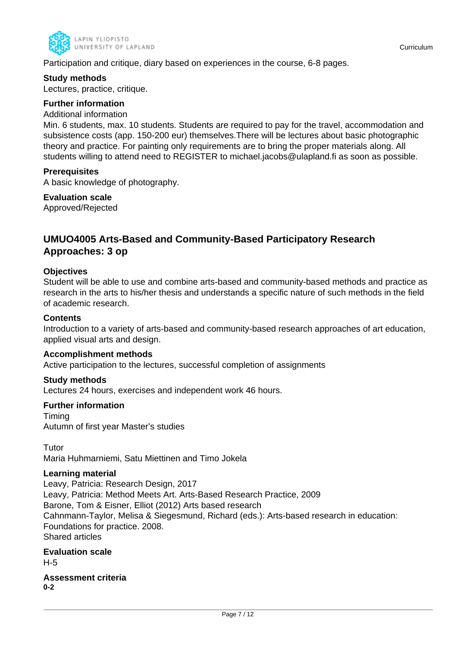

Participation and critique, diary based on experiences in the course, 6-8 pages.

#### **Study methods**

Lectures, practice, critique.

## **Further information**

#### Additional information

Min. 6 students, max. 10 students. Students are required to pay for the travel, accommodation and subsistence costs (app. 150-200 eur) themselves.There will be lectures about basic photographic theory and practice. For painting only requirements are to bring the proper materials along. All students willing to attend need to REGISTER to michael.jacobs@ulapland.fi as soon as possible.

## **Prerequisites**

A basic knowledge of photography.

## **Evaluation scale**

Approved/Rejected

## **UMUO4005 Arts-Based and Community-Based Participatory Research Approaches: 3 op**

#### **Objectives**

Student will be able to use and combine arts-based and community-based methods and practice as research in the arts to his/her thesis and understands a specific nature of such methods in the field of academic research.

#### **Contents**

Introduction to a variety of arts-based and community-based research approaches of art education, applied visual arts and design.

#### **Accomplishment methods**

Active participation to the lectures, successful completion of assignments

#### **Study methods**

Lectures 24 hours, exercises and independent work 46 hours.

#### **Further information**

Timing Autumn of first year Master's studies

Tutor Maria Huhmarniemi, Satu Miettinen and Timo Jokela

## **Learning material**

Leavy, Patricia: Research Design, 2017 Leavy, Patricia: Method Meets Art. Arts-Based Research Practice, 2009 Barone, Tom & Eisner, Elliot (2012) Arts based research Cahnmann-Taylor, Melisa & Siegesmund, Richard (eds.): Arts-based research in education: Foundations for practice. 2008. Shared articles

## **Evaluation scale** H-5

**Assessment criteria 0-2**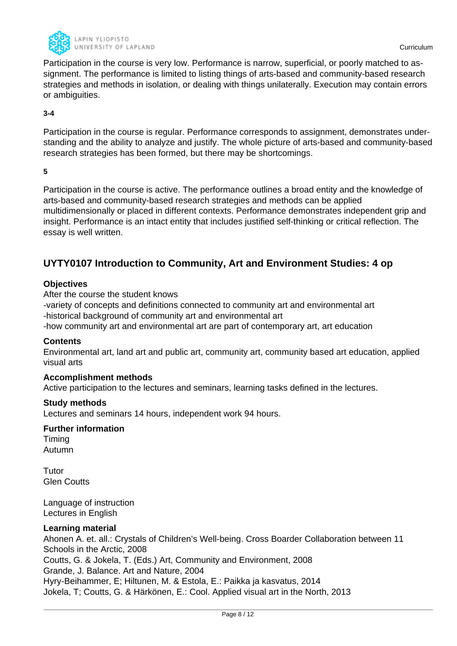

Participation in the course is very low. Performance is narrow, superficial, or poorly matched to assignment. The performance is limited to listing things of arts-based and community-based research strategies and methods in isolation, or dealing with things unilaterally. Execution may contain errors or ambiguities.

### **3-4**

Participation in the course is regular. Performance corresponds to assignment, demonstrates understanding and the ability to analyze and justify. The whole picture of arts-based and community-based research strategies has been formed, but there may be shortcomings.

**5**

Participation in the course is active. The performance outlines a broad entity and the knowledge of arts-based and community-based research strategies and methods can be applied multidimensionally or placed in different contexts. Performance demonstrates independent grip and insight. Performance is an intact entity that includes justified self-thinking or critical reflection. The essay is well written.

## **UYTY0107 Introduction to Community, Art and Environment Studies: 4 op**

#### **Objectives**

After the course the student knows

-variety of concepts and definitions connected to community art and environmental art -historical background of community art and environmental art

-how community art and environmental art are part of contemporary art, art education

#### **Contents**

Environmental art, land art and public art, community art, community based art education, applied visual arts

#### **Accomplishment methods**

Active participation to the lectures and seminars, learning tasks defined in the lectures.

#### **Study methods**

Lectures and seminars 14 hours, independent work 94 hours.

#### **Further information**

Timing Autumn

Tutor Glen Coutts

Language of instruction Lectures in English

#### **Learning material**

Ahonen A. et. all.: Crystals of Children's Well-being. Cross Boarder Collaboration between 11 Schools in the Arctic, 2008 Coutts, G. & Jokela, T. (Eds.) Art, Community and Environment, 2008 Grande, J. Balance. Art and Nature, 2004 Hyry-Beihammer, E; Hiltunen, M. & Estola, E.: Paikka ja kasvatus, 2014 Jokela, T; Coutts, G. & Härkönen, E.: Cool. Applied visual art in the North, 2013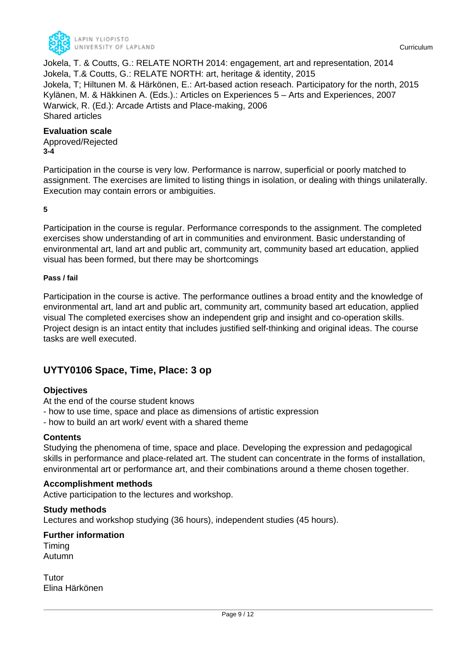

Jokela, T. & Coutts, G.: RELATE NORTH 2014: engagement, art and representation, 2014 Jokela, T.& Coutts, G.: RELATE NORTH: art, heritage & identity, 2015 Jokela, T; Hiltunen M. & Härkönen, E.: Art-based action reseach. Participatory for the north, 2015 Kylänen, M. & Häkkinen A. (Eds.).: Articles on Experiences 5 – Arts and Experiences, 2007 Warwick, R. (Ed.): Arcade Artists and Place-making, 2006 Shared articles

#### **Evaluation scale**

Approved/Rejected **3-4**

Participation in the course is very low. Performance is narrow, superficial or poorly matched to assignment. The exercises are limited to listing things in isolation, or dealing with things unilaterally. Execution may contain errors or ambiguities.

**5**

Participation in the course is regular. Performance corresponds to the assignment. The completed exercises show understanding of art in communities and environment. Basic understanding of environmental art, land art and public art, community art, community based art education, applied visual has been formed, but there may be shortcomings

#### **Pass / fail**

Participation in the course is active. The performance outlines a broad entity and the knowledge of environmental art, land art and public art, community art, community based art education, applied visual The completed exercises show an independent grip and insight and co-operation skills. Project design is an intact entity that includes justified self-thinking and original ideas. The course tasks are well executed.

## **UYTY0106 Space, Time, Place: 3 op**

## **Objectives**

At the end of the course student knows

- how to use time, space and place as dimensions of artistic expression
- how to build an art work/ event with a shared theme

## **Contents**

Studying the phenomena of time, space and place. Developing the expression and pedagogical skills in performance and place-related art. The student can concentrate in the forms of installation, environmental art or performance art, and their combinations around a theme chosen together.

## **Accomplishment methods**

Active participation to the lectures and workshop.

## **Study methods**

Lectures and workshop studying (36 hours), independent studies (45 hours).

**Further information** Timing

Autumn

Tutor Elina Härkönen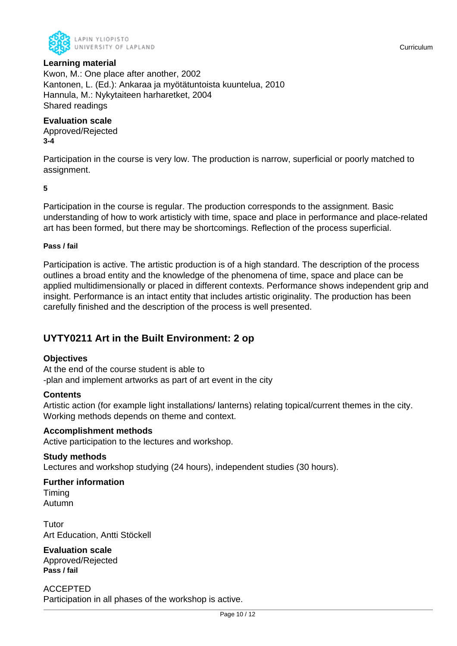

## **Learning material**

Kwon, M.: One place after another, 2002 Kantonen, L. (Ed.): Ankaraa ja myötätuntoista kuuntelua, 2010 Hannula, M.: Nykytaiteen harharetket, 2004 Shared readings

#### **Evaluation scale**

Approved/Rejected **3-4**

Participation in the course is very low. The production is narrow, superficial or poorly matched to assignment.

**5**

Participation in the course is regular. The production corresponds to the assignment. Basic understanding of how to work artisticly with time, space and place in performance and place-related art has been formed, but there may be shortcomings. Reflection of the process superficial.

#### **Pass / fail**

Participation is active. The artistic production is of a high standard. The description of the process outlines a broad entity and the knowledge of the phenomena of time, space and place can be applied multidimensionally or placed in different contexts. Performance shows independent grip and insight. Performance is an intact entity that includes artistic originality. The production has been carefully finished and the description of the process is well presented.

## **UYTY0211 Art in the Built Environment: 2 op**

#### **Objectives**

At the end of the course student is able to -plan and implement artworks as part of art event in the city

#### **Contents**

Artistic action (for example light installations/ lanterns) relating topical/current themes in the city. Working methods depends on theme and context.

#### **Accomplishment methods**

Active participation to the lectures and workshop.

#### **Study methods**

Lectures and workshop studying (24 hours), independent studies (30 hours).

## **Further information**

Timing Autumn

Tutor Art Education, Antti Stöckell

## **Evaluation scale**

Approved/Rejected **Pass / fail**

ACCEPTED Participation in all phases of the workshop is active.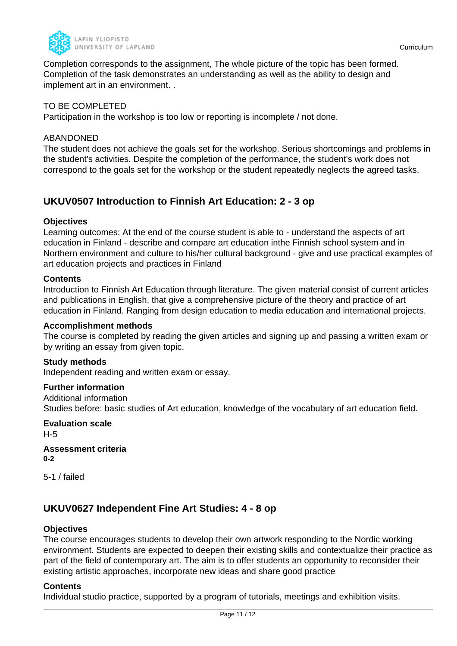

Completion corresponds to the assignment, The whole picture of the topic has been formed. Completion of the task demonstrates an understanding as well as the ability to design and implement art in an environment. .

### TO BE COMPLETED

Participation in the workshop is too low or reporting is incomplete / not done.

#### ABANDONED

The student does not achieve the goals set for the workshop. Serious shortcomings and problems in the student's activities. Despite the completion of the performance, the student's work does not correspond to the goals set for the workshop or the student repeatedly neglects the agreed tasks.

## **UKUV0507 Introduction to Finnish Art Education: 2 - 3 op**

#### **Objectives**

Learning outcomes: At the end of the course student is able to - understand the aspects of art education in Finland - describe and compare art education inthe Finnish school system and in Northern environment and culture to his/her cultural background - give and use practical examples of art education projects and practices in Finland

#### **Contents**

Introduction to Finnish Art Education through literature. The given material consist of current articles and publications in English, that give a comprehensive picture of the theory and practice of art education in Finland. Ranging from design education to media education and international projects.

### **Accomplishment methods**

The course is completed by reading the given articles and signing up and passing a written exam or by writing an essay from given topic.

#### **Study methods**

Independent reading and written exam or essay.

#### **Further information**

Additional information Studies before: basic studies of Art education, knowledge of the vocabulary of art education field.

**Evaluation scale** H-5

**Assessment criteria 0-2**

5-1 / failed

## **UKUV0627 Independent Fine Art Studies: 4 - 8 op**

#### **Objectives**

The course encourages students to develop their own artwork responding to the Nordic working environment. Students are expected to deepen their existing skills and contextualize their practice as part of the field of contemporary art. The aim is to offer students an opportunity to reconsider their existing artistic approaches, incorporate new ideas and share good practice

#### **Contents**

Individual studio practice, supported by a program of tutorials, meetings and exhibition visits.